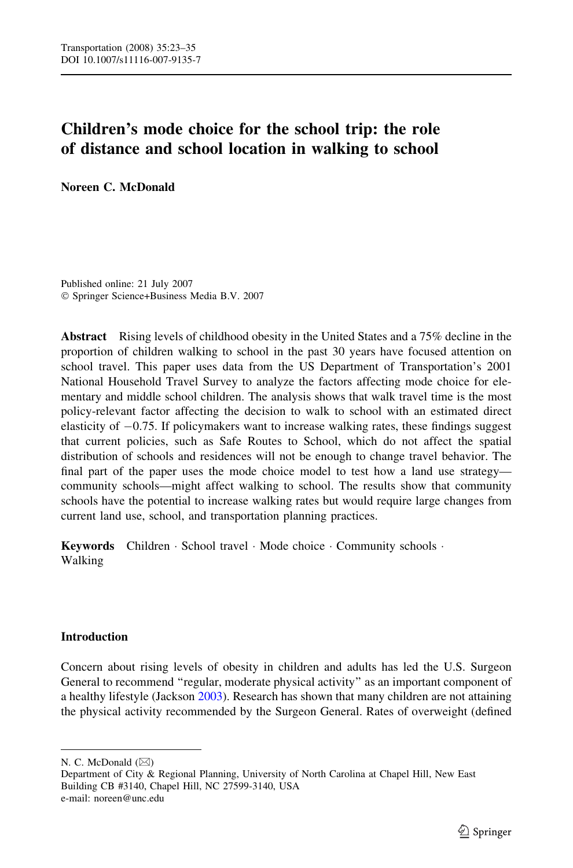# Children's mode choice for the school trip: the role of distance and school location in walking to school

Noreen C. McDonald

Published online: 21 July 2007 Springer Science+Business Media B.V. 2007

Abstract Rising levels of childhood obesity in the United States and a 75% decline in the proportion of children walking to school in the past 30 years have focused attention on school travel. This paper uses data from the US Department of Transportation's 2001 National Household Travel Survey to analyze the factors affecting mode choice for elementary and middle school children. The analysis shows that walk travel time is the most policy-relevant factor affecting the decision to walk to school with an estimated direct elasticity of  $-0.75$ . If policymakers want to increase walking rates, these findings suggest that current policies, such as Safe Routes to School, which do not affect the spatial distribution of schools and residences will not be enough to change travel behavior. The final part of the paper uses the mode choice model to test how a land use strategy community schools—might affect walking to school. The results show that community schools have the potential to increase walking rates but would require large changes from current land use, school, and transportation planning practices.

Keywords Children · School travel · Mode choice · Community schools · Walking

# Introduction

Concern about rising levels of obesity in children and adults has led the U.S. Surgeon General to recommend ''regular, moderate physical activity'' as an important component of a healthy lifestyle (Jackson [2003\)](#page-11-0). Research has shown that many children are not attaining the physical activity recommended by the Surgeon General. Rates of overweight (defined

N. C. McDonald ( $\boxtimes$ )

Department of City & Regional Planning, University of North Carolina at Chapel Hill, New East Building CB #3140, Chapel Hill, NC 27599-3140, USA e-mail: noreen@unc.edu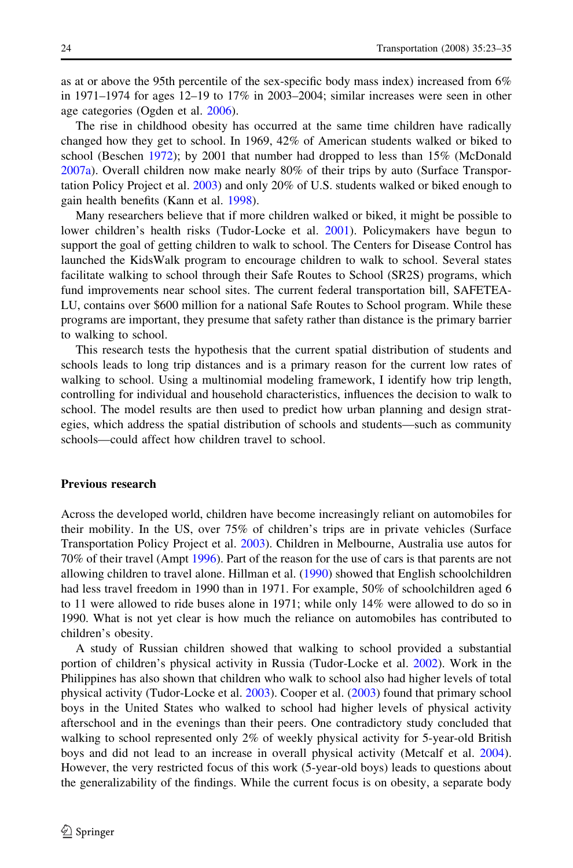as at or above the 95th percentile of the sex-specific body mass index) increased from 6% in 1971–1974 for ages 12–19 to 17% in 2003–2004; similar increases were seen in other age categories (Ogden et al. [2006\)](#page-12-0).

The rise in childhood obesity has occurred at the same time children have radically changed how they get to school. In 1969, 42% of American students walked or biked to school (Beschen [1972\)](#page-11-0); by 2001 that number had dropped to less than 15% (McDonald [2007a\)](#page-11-0). Overall children now make nearly 80% of their trips by auto (Surface Transportation Policy Project et al. [2003](#page-12-0)) and only 20% of U.S. students walked or biked enough to gain health benefits (Kann et al. [1998](#page-11-0)).

Many researchers believe that if more children walked or biked, it might be possible to lower children's health risks (Tudor-Locke et al. [2001](#page-12-0)). Policymakers have begun to support the goal of getting children to walk to school. The Centers for Disease Control has launched the KidsWalk program to encourage children to walk to school. Several states facilitate walking to school through their Safe Routes to School (SR2S) programs, which fund improvements near school sites. The current federal transportation bill, SAFETEA-LU, contains over \$600 million for a national Safe Routes to School program. While these programs are important, they presume that safety rather than distance is the primary barrier to walking to school.

This research tests the hypothesis that the current spatial distribution of students and schools leads to long trip distances and is a primary reason for the current low rates of walking to school. Using a multinomial modeling framework, I identify how trip length, controlling for individual and household characteristics, influences the decision to walk to school. The model results are then used to predict how urban planning and design strategies, which address the spatial distribution of schools and students—such as community schools—could affect how children travel to school.

#### Previous research

Across the developed world, children have become increasingly reliant on automobiles for their mobility. In the US, over 75% of children's trips are in private vehicles (Surface Transportation Policy Project et al. [2003\)](#page-12-0). Children in Melbourne, Australia use autos for 70% of their travel (Ampt [1996](#page-11-0)). Part of the reason for the use of cars is that parents are not allowing children to travel alone. Hillman et al. ([1990\)](#page-11-0) showed that English schoolchildren had less travel freedom in 1990 than in 1971. For example, 50% of schoolchildren aged 6 to 11 were allowed to ride buses alone in 1971; while only 14% were allowed to do so in 1990. What is not yet clear is how much the reliance on automobiles has contributed to children's obesity.

A study of Russian children showed that walking to school provided a substantial portion of children's physical activity in Russia (Tudor-Locke et al. [2002](#page-12-0)). Work in the Philippines has also shown that children who walk to school also had higher levels of total physical activity (Tudor-Locke et al. [2003](#page-12-0)). Cooper et al. ([2003\)](#page-11-0) found that primary school boys in the United States who walked to school had higher levels of physical activity afterschool and in the evenings than their peers. One contradictory study concluded that walking to school represented only 2% of weekly physical activity for 5-year-old British boys and did not lead to an increase in overall physical activity (Metcalf et al. [2004](#page-12-0)). However, the very restricted focus of this work (5-year-old boys) leads to questions about the generalizability of the findings. While the current focus is on obesity, a separate body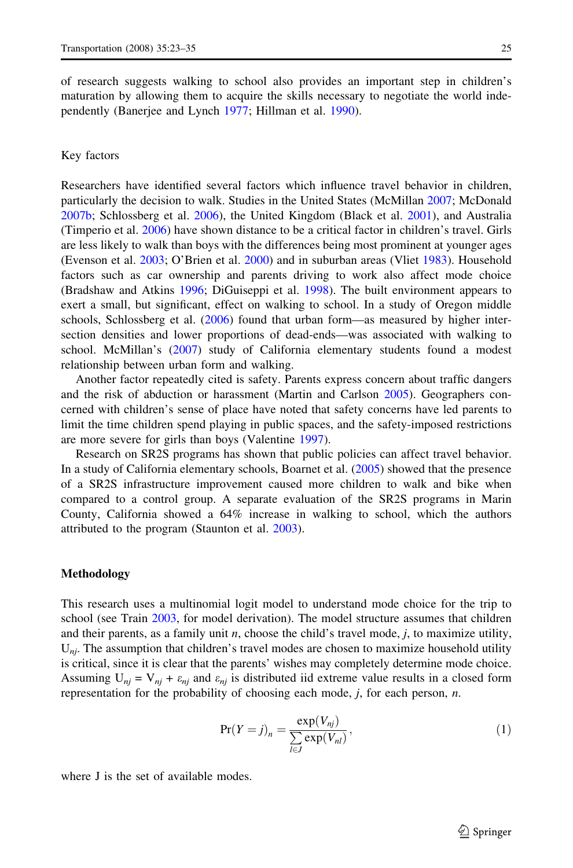of research suggests walking to school also provides an important step in children's maturation by allowing them to acquire the skills necessary to negotiate the world independently (Banerjee and Lynch [1977;](#page-11-0) Hillman et al. [1990](#page-11-0)).

## Key factors

Researchers have identified several factors which influence travel behavior in children, particularly the decision to walk. Studies in the United States (McMillan [2007;](#page-12-0) McDonald [2007b](#page-11-0); Schlossberg et al. [2006\)](#page-12-0), the United Kingdom (Black et al. [2001\)](#page-11-0), and Australia (Timperio et al. [2006\)](#page-12-0) have shown distance to be a critical factor in children's travel. Girls are less likely to walk than boys with the differences being most prominent at younger ages (Evenson et al. [2003](#page-11-0); O'Brien et al. [2000](#page-12-0)) and in suburban areas (Vliet [1983](#page-12-0)). Household factors such as car ownership and parents driving to work also affect mode choice (Bradshaw and Atkins [1996](#page-11-0); DiGuiseppi et al. [1998](#page-11-0)). The built environment appears to exert a small, but significant, effect on walking to school. In a study of Oregon middle schools, Schlossberg et al. [\(2006](#page-12-0)) found that urban form—as measured by higher intersection densities and lower proportions of dead-ends—was associated with walking to school. McMillan's ([2007\)](#page-12-0) study of California elementary students found a modest relationship between urban form and walking.

Another factor repeatedly cited is safety. Parents express concern about traffic dangers and the risk of abduction or harassment (Martin and Carlson [2005\)](#page-11-0). Geographers concerned with children's sense of place have noted that safety concerns have led parents to limit the time children spend playing in public spaces, and the safety-imposed restrictions are more severe for girls than boys (Valentine [1997](#page-12-0)).

Research on SR2S programs has shown that public policies can affect travel behavior. In a study of California elementary schools, Boarnet et al. ([2005\)](#page-11-0) showed that the presence of a SR2S infrastructure improvement caused more children to walk and bike when compared to a control group. A separate evaluation of the SR2S programs in Marin County, California showed a 64% increase in walking to school, which the authors attributed to the program (Staunton et al. [2003](#page-12-0)).

## Methodology

This research uses a multinomial logit model to understand mode choice for the trip to school (see Train [2003](#page-12-0), for model derivation). The model structure assumes that children and their parents, as a family unit  $n$ , choose the child's travel mode,  $j$ , to maximize utility,  $U_{ni}$ . The assumption that children's travel modes are chosen to maximize household utility is critical, since it is clear that the parents' wishes may completely determine mode choice. Assuming  $U_{ni} = V_{ni} + \varepsilon_{ni}$  and  $\varepsilon_{ni}$  is distributed iid extreme value results in a closed form representation for the probability of choosing each mode,  $j$ , for each person,  $n$ .

$$
\Pr(Y=j)_n = \frac{\exp(V_{nj})}{\sum_{l \in J} \exp(V_{nl})},\tag{1}
$$

where J is the set of available modes.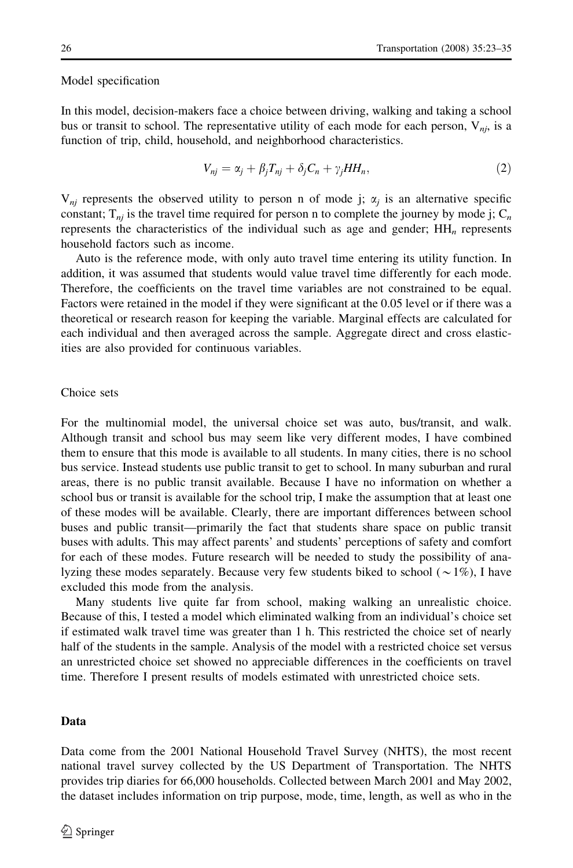#### Model specification

In this model, decision-makers face a choice between driving, walking and taking a school bus or transit to school. The representative utility of each mode for each person,  $V_{ni}$ , is a function of trip, child, household, and neighborhood characteristics.

$$
V_{nj} = \alpha_j + \beta_j T_{nj} + \delta_j C_n + \gamma_j HH_n, \qquad (2)
$$

 $V_{ni}$  represents the observed utility to person n of mode j;  $\alpha_i$  is an alternative specific constant;  $T_{ni}$  is the travel time required for person n to complete the journey by mode j;  $C_n$ represents the characteristics of the individual such as age and gender;  $HH_n$  represents household factors such as income.

Auto is the reference mode, with only auto travel time entering its utility function. In addition, it was assumed that students would value travel time differently for each mode. Therefore, the coefficients on the travel time variables are not constrained to be equal. Factors were retained in the model if they were significant at the 0.05 level or if there was a theoretical or research reason for keeping the variable. Marginal effects are calculated for each individual and then averaged across the sample. Aggregate direct and cross elasticities are also provided for continuous variables.

### Choice sets

For the multinomial model, the universal choice set was auto, bus/transit, and walk. Although transit and school bus may seem like very different modes, I have combined them to ensure that this mode is available to all students. In many cities, there is no school bus service. Instead students use public transit to get to school. In many suburban and rural areas, there is no public transit available. Because I have no information on whether a school bus or transit is available for the school trip, I make the assumption that at least one of these modes will be available. Clearly, there are important differences between school buses and public transit—primarily the fact that students share space on public transit buses with adults. This may affect parents' and students' perceptions of safety and comfort for each of these modes. Future research will be needed to study the possibility of analyzing these modes separately. Because very few students biked to school  $(\sim 1\%)$ , I have excluded this mode from the analysis.

Many students live quite far from school, making walking an unrealistic choice. Because of this, I tested a model which eliminated walking from an individual's choice set if estimated walk travel time was greater than 1 h. This restricted the choice set of nearly half of the students in the sample. Analysis of the model with a restricted choice set versus an unrestricted choice set showed no appreciable differences in the coefficients on travel time. Therefore I present results of models estimated with unrestricted choice sets.

## Data

Data come from the 2001 National Household Travel Survey (NHTS), the most recent national travel survey collected by the US Department of Transportation. The NHTS provides trip diaries for 66,000 households. Collected between March 2001 and May 2002, the dataset includes information on trip purpose, mode, time, length, as well as who in the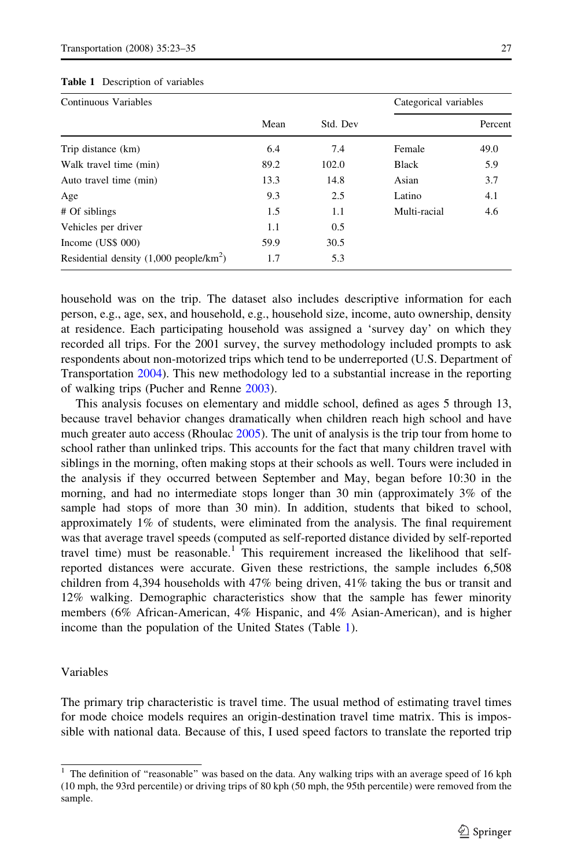| Continuous Variables                              |      |          | Categorical variables |         |
|---------------------------------------------------|------|----------|-----------------------|---------|
|                                                   | Mean | Std. Dev |                       | Percent |
| Trip distance (km)                                | 6.4  | 7.4      | Female                | 49.0    |
| Walk travel time (min)                            | 89.2 | 102.0    | <b>Black</b>          | 5.9     |
| Auto travel time (min)                            | 13.3 | 14.8     | Asian                 | 3.7     |
| Age                                               | 9.3  | 2.5      | Latino                | 4.1     |
| # Of siblings                                     | 1.5  | 1.1      | Multi-racial          | 4.6     |
| Vehicles per driver                               | 1.1  | 0.5      |                       |         |
| Income (US\$ 000)                                 | 59.9 | 30.5     |                       |         |
| Residential density $(1,000 \text{ people/km}^2)$ | 1.7  | 5.3      |                       |         |

#### <span id="page-4-0"></span>Table 1 Description of variables

household was on the trip. The dataset also includes descriptive information for each person, e.g., age, sex, and household, e.g., household size, income, auto ownership, density at residence. Each participating household was assigned a 'survey day' on which they recorded all trips. For the 2001 survey, the survey methodology included prompts to ask respondents about non-motorized trips which tend to be underreported (U.S. Department of Transportation [2004](#page-12-0)). This new methodology led to a substantial increase in the reporting of walking trips (Pucher and Renne [2003](#page-12-0)).

This analysis focuses on elementary and middle school, defined as ages 5 through 13, because travel behavior changes dramatically when children reach high school and have much greater auto access (Rhoulac [2005](#page-12-0)). The unit of analysis is the trip tour from home to school rather than unlinked trips. This accounts for the fact that many children travel with siblings in the morning, often making stops at their schools as well. Tours were included in the analysis if they occurred between September and May, began before 10:30 in the morning, and had no intermediate stops longer than 30 min (approximately 3% of the sample had stops of more than 30 min). In addition, students that biked to school, approximately 1% of students, were eliminated from the analysis. The final requirement was that average travel speeds (computed as self-reported distance divided by self-reported travel time) must be reasonable.<sup>1</sup> This requirement increased the likelihood that selfreported distances were accurate. Given these restrictions, the sample includes 6,508 children from 4,394 households with 47% being driven, 41% taking the bus or transit and 12% walking. Demographic characteristics show that the sample has fewer minority members (6% African-American, 4% Hispanic, and 4% Asian-American), and is higher income than the population of the United States (Table 1).

# Variables

The primary trip characteristic is travel time. The usual method of estimating travel times for mode choice models requires an origin-destination travel time matrix. This is impossible with national data. Because of this, I used speed factors to translate the reported trip

<sup>&</sup>lt;sup>1</sup> The definition of "reasonable" was based on the data. Any walking trips with an average speed of 16 kph (10 mph, the 93rd percentile) or driving trips of 80 kph (50 mph, the 95th percentile) were removed from the sample.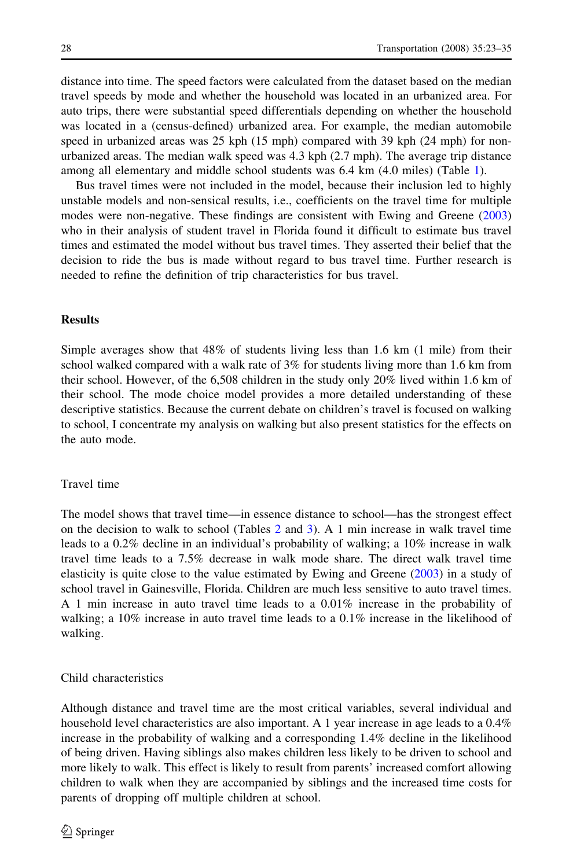distance into time. The speed factors were calculated from the dataset based on the median travel speeds by mode and whether the household was located in an urbanized area. For auto trips, there were substantial speed differentials depending on whether the household was located in a (census-defined) urbanized area. For example, the median automobile speed in urbanized areas was 25 kph (15 mph) compared with 39 kph (24 mph) for nonurbanized areas. The median walk speed was 4.3 kph (2.7 mph). The average trip distance among all elementary and middle school students was 6.4 km (4.0 miles) (Table [1](#page-4-0)).

Bus travel times were not included in the model, because their inclusion led to highly unstable models and non-sensical results, i.e., coefficients on the travel time for multiple modes were non-negative. These findings are consistent with Ewing and Greene ([2003](#page-11-0)) who in their analysis of student travel in Florida found it difficult to estimate bus travel times and estimated the model without bus travel times. They asserted their belief that the decision to ride the bus is made without regard to bus travel time. Further research is needed to refine the definition of trip characteristics for bus travel.

## **Results**

Simple averages show that 48% of students living less than 1.6 km (1 mile) from their school walked compared with a walk rate of 3% for students living more than 1.6 km from their school. However, of the 6,508 children in the study only 20% lived within 1.6 km of their school. The mode choice model provides a more detailed understanding of these descriptive statistics. Because the current debate on children's travel is focused on walking to school, I concentrate my analysis on walking but also present statistics for the effects on the auto mode.

#### Travel time

The model shows that travel time—in essence distance to school—has the strongest effect on the decision to walk to school (Tables [2](#page-6-0) and [3](#page-7-0)). A 1 min increase in walk travel time leads to a 0.2% decline in an individual's probability of walking; a 10% increase in walk travel time leads to a 7.5% decrease in walk mode share. The direct walk travel time elasticity is quite close to the value estimated by Ewing and Greene [\(2003\)](#page-11-0) in a study of school travel in Gainesville, Florida. Children are much less sensitive to auto travel times. A 1 min increase in auto travel time leads to a 0.01% increase in the probability of walking; a 10% increase in auto travel time leads to a 0.1% increase in the likelihood of walking.

## Child characteristics

Although distance and travel time are the most critical variables, several individual and household level characteristics are also important. A 1 year increase in age leads to a  $0.4\%$ increase in the probability of walking and a corresponding 1.4% decline in the likelihood of being driven. Having siblings also makes children less likely to be driven to school and more likely to walk. This effect is likely to result from parents' increased comfort allowing children to walk when they are accompanied by siblings and the increased time costs for parents of dropping off multiple children at school.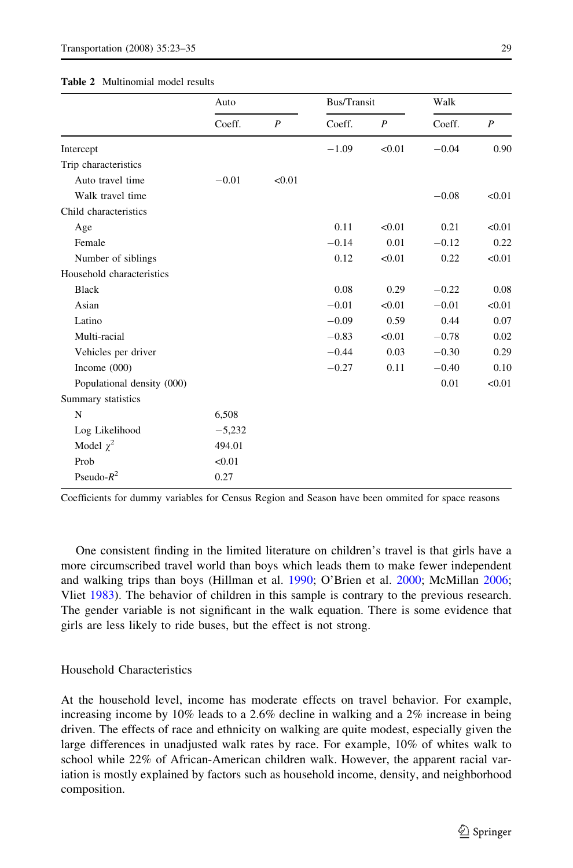#### <span id="page-6-0"></span>Table 2 Multinomial model results

|                            | Auto     |                  | Bus/Transit |                  | Walk    |                  |
|----------------------------|----------|------------------|-------------|------------------|---------|------------------|
|                            | Coeff.   | $\boldsymbol{P}$ | Coeff.      | $\boldsymbol{P}$ | Coeff.  | $\boldsymbol{P}$ |
| Intercept                  |          |                  | $-1.09$     | < 0.01           | $-0.04$ | 0.90             |
| Trip characteristics       |          |                  |             |                  |         |                  |
| Auto travel time           | $-0.01$  | < 0.01           |             |                  |         |                  |
| Walk travel time           |          |                  |             |                  | $-0.08$ | < 0.01           |
| Child characteristics      |          |                  |             |                  |         |                  |
| Age                        |          |                  | 0.11        | < 0.01           | 0.21    | < 0.01           |
| Female                     |          |                  | $-0.14$     | 0.01             | $-0.12$ | 0.22             |
| Number of siblings         |          |                  | 0.12        | < 0.01           | 0.22    | < 0.01           |
| Household characteristics  |          |                  |             |                  |         |                  |
| <b>Black</b>               |          |                  | 0.08        | 0.29             | $-0.22$ | 0.08             |
| Asian                      |          |                  | $-0.01$     | < 0.01           | $-0.01$ | < 0.01           |
| Latino                     |          |                  | $-0.09$     | 0.59             | 0.44    | 0.07             |
| Multi-racial               |          |                  | $-0.83$     | < 0.01           | $-0.78$ | 0.02             |
| Vehicles per driver        |          |                  | $-0.44$     | 0.03             | $-0.30$ | 0.29             |
| Income $(000)$             |          |                  | $-0.27$     | 0.11             | $-0.40$ | 0.10             |
| Populational density (000) |          |                  |             |                  | 0.01    | < 0.01           |
| Summary statistics         |          |                  |             |                  |         |                  |
| N                          | 6,508    |                  |             |                  |         |                  |
| Log Likelihood             | $-5,232$ |                  |             |                  |         |                  |
| Model $\chi^2$             | 494.01   |                  |             |                  |         |                  |
| Prob                       | < 0.01   |                  |             |                  |         |                  |
| Pseudo- $R^2$              | 0.27     |                  |             |                  |         |                  |

Coefficients for dummy variables for Census Region and Season have been ommited for space reasons

One consistent finding in the limited literature on children's travel is that girls have a more circumscribed travel world than boys which leads them to make fewer independent and walking trips than boys (Hillman et al. [1990](#page-11-0); O'Brien et al. [2000](#page-12-0); McMillan [2006;](#page-12-0) Vliet [1983\)](#page-12-0). The behavior of children in this sample is contrary to the previous research. The gender variable is not significant in the walk equation. There is some evidence that girls are less likely to ride buses, but the effect is not strong.

## Household Characteristics

At the household level, income has moderate effects on travel behavior. For example, increasing income by 10% leads to a 2.6% decline in walking and a 2% increase in being driven. The effects of race and ethnicity on walking are quite modest, especially given the large differences in unadjusted walk rates by race. For example, 10% of whites walk to school while 22% of African-American children walk. However, the apparent racial variation is mostly explained by factors such as household income, density, and neighborhood composition.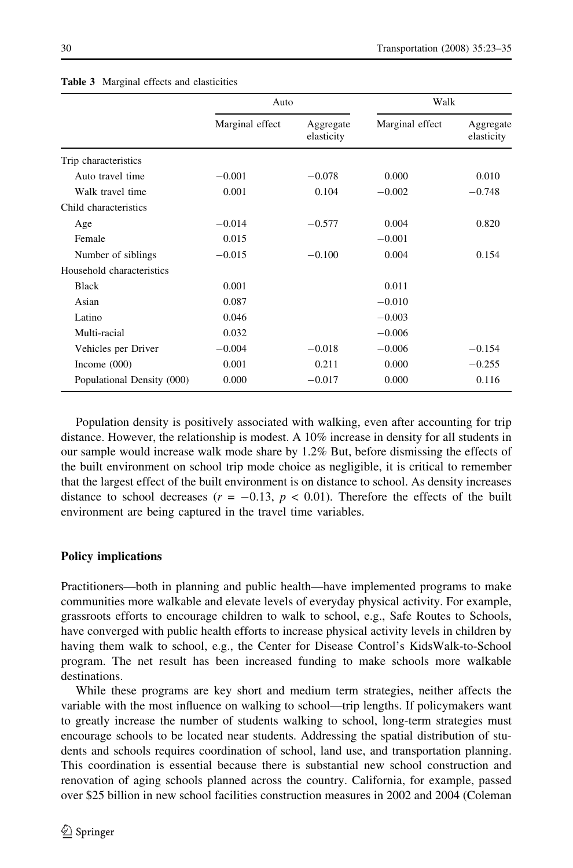|                            | Auto            |                         | Walk            |                         |
|----------------------------|-----------------|-------------------------|-----------------|-------------------------|
|                            | Marginal effect | Aggregate<br>elasticity | Marginal effect | Aggregate<br>elasticity |
| Trip characteristics       |                 |                         |                 |                         |
| Auto travel time           | $-0.001$        | $-0.078$                | 0.000           | 0.010                   |
| Walk travel time           | 0.001           | 0.104                   | $-0.002$        | $-0.748$                |
| Child characteristics      |                 |                         |                 |                         |
| Age                        | $-0.014$        | $-0.577$                | 0.004           | 0.820                   |
| Female                     | 0.015           |                         | $-0.001$        |                         |
| Number of siblings         | $-0.015$        | $-0.100$                | 0.004           | 0.154                   |
| Household characteristics  |                 |                         |                 |                         |
| <b>Black</b>               | 0.001           |                         | 0.011           |                         |
| Asian                      | 0.087           |                         | $-0.010$        |                         |
| Latino                     | 0.046           |                         | $-0.003$        |                         |
| Multi-racial               | 0.032           |                         | $-0.006$        |                         |
| Vehicles per Driver        | $-0.004$        | $-0.018$                | $-0.006$        | $-0.154$                |
| Income $(000)$             | 0.001           | 0.211                   | 0.000           | $-0.255$                |
| Populational Density (000) | 0.000           | $-0.017$                | 0.000           | 0.116                   |

#### <span id="page-7-0"></span>Table 3 Marginal effects and elasticities

Population density is positively associated with walking, even after accounting for trip distance. However, the relationship is modest. A 10% increase in density for all students in our sample would increase walk mode share by 1.2% But, before dismissing the effects of the built environment on school trip mode choice as negligible, it is critical to remember that the largest effect of the built environment is on distance to school. As density increases distance to school decreases ( $r = -0.13$ ,  $p < 0.01$ ). Therefore the effects of the built environment are being captured in the travel time variables.

## Policy implications

Practitioners—both in planning and public health—have implemented programs to make communities more walkable and elevate levels of everyday physical activity. For example, grassroots efforts to encourage children to walk to school, e.g., Safe Routes to Schools, have converged with public health efforts to increase physical activity levels in children by having them walk to school, e.g., the Center for Disease Control's KidsWalk-to-School program. The net result has been increased funding to make schools more walkable destinations.

While these programs are key short and medium term strategies, neither affects the variable with the most influence on walking to school—trip lengths. If policymakers want to greatly increase the number of students walking to school, long-term strategies must encourage schools to be located near students. Addressing the spatial distribution of students and schools requires coordination of school, land use, and transportation planning. This coordination is essential because there is substantial new school construction and renovation of aging schools planned across the country. California, for example, passed over \$25 billion in new school facilities construction measures in 2002 and 2004 (Coleman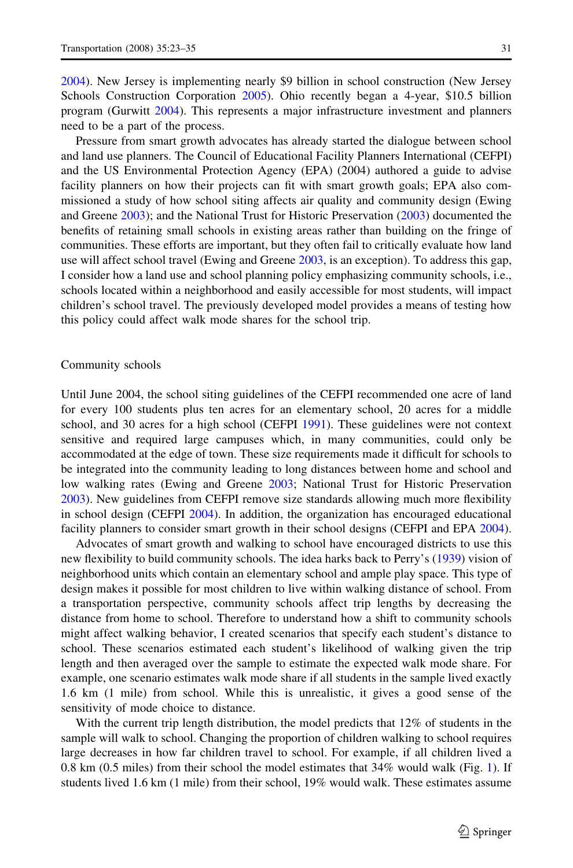[2004\)](#page-11-0). New Jersey is implementing nearly \$9 billion in school construction (New Jersey Schools Construction Corporation [2005\)](#page-12-0). Ohio recently began a 4-year, \$10.5 billion program (Gurwitt [2004\)](#page-11-0). This represents a major infrastructure investment and planners need to be a part of the process.

Pressure from smart growth advocates has already started the dialogue between school and land use planners. The Council of Educational Facility Planners International (CEFPI) and the US Environmental Protection Agency (EPA) (2004) authored a guide to advise facility planners on how their projects can fit with smart growth goals; EPA also commissioned a study of how school siting affects air quality and community design (Ewing and Greene [2003\)](#page-11-0); and the National Trust for Historic Preservation ([2003](#page-12-0)) documented the benefits of retaining small schools in existing areas rather than building on the fringe of communities. These efforts are important, but they often fail to critically evaluate how land use will affect school travel (Ewing and Greene [2003](#page-11-0), is an exception). To address this gap, I consider how a land use and school planning policy emphasizing community schools, i.e., schools located within a neighborhood and easily accessible for most students, will impact children's school travel. The previously developed model provides a means of testing how this policy could affect walk mode shares for the school trip.

## Community schools

Until June 2004, the school siting guidelines of the CEFPI recommended one acre of land for every 100 students plus ten acres for an elementary school, 20 acres for a middle school, and 30 acres for a high school (CEFPI [1991\)](#page-11-0). These guidelines were not context sensitive and required large campuses which, in many communities, could only be accommodated at the edge of town. These size requirements made it difficult for schools to be integrated into the community leading to long distances between home and school and low walking rates (Ewing and Greene [2003](#page-11-0); National Trust for Historic Preservation [2003\)](#page-12-0). New guidelines from CEFPI remove size standards allowing much more flexibility in school design (CEFPI [2004](#page-11-0)). In addition, the organization has encouraged educational facility planners to consider smart growth in their school designs (CEFPI and EPA [2004](#page-11-0)).

Advocates of smart growth and walking to school have encouraged districts to use this new flexibility to build community schools. The idea harks back to Perry's ([1939\)](#page-12-0) vision of neighborhood units which contain an elementary school and ample play space. This type of design makes it possible for most children to live within walking distance of school. From a transportation perspective, community schools affect trip lengths by decreasing the distance from home to school. Therefore to understand how a shift to community schools might affect walking behavior, I created scenarios that specify each student's distance to school. These scenarios estimated each student's likelihood of walking given the trip length and then averaged over the sample to estimate the expected walk mode share. For example, one scenario estimates walk mode share if all students in the sample lived exactly 1.6 km (1 mile) from school. While this is unrealistic, it gives a good sense of the sensitivity of mode choice to distance.

With the current trip length distribution, the model predicts that 12% of students in the sample will walk to school. Changing the proportion of children walking to school requires large decreases in how far children travel to school. For example, if all children lived a 0.8 km  $(0.5 \text{ miles})$  from their school the model estimates that  $34\%$  would walk (Fig. [1](#page-9-0)). If students lived 1.6 km (1 mile) from their school, 19% would walk. These estimates assume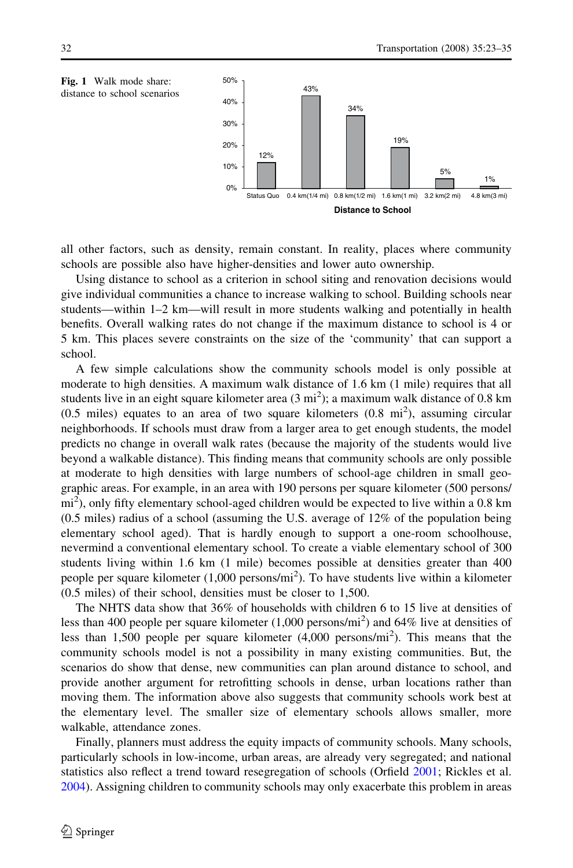<span id="page-9-0"></span>

all other factors, such as density, remain constant. In reality, places where community schools are possible also have higher-densities and lower auto ownership.

Using distance to school as a criterion in school siting and renovation decisions would give individual communities a chance to increase walking to school. Building schools near students—within 1–2 km—will result in more students walking and potentially in health benefits. Overall walking rates do not change if the maximum distance to school is 4 or 5 km. This places severe constraints on the size of the 'community' that can support a school.

A few simple calculations show the community schools model is only possible at moderate to high densities. A maximum walk distance of 1.6 km (1 mile) requires that all students live in an eight square kilometer area  $(3 \text{ mi}^2)$ ; a maximum walk distance of 0.8 km  $(0.5 \text{ miles})$  equates to an area of two square kilometers  $(0.8 \text{ mi}^2)$ , assuming circular neighborhoods. If schools must draw from a larger area to get enough students, the model predicts no change in overall walk rates (because the majority of the students would live beyond a walkable distance). This finding means that community schools are only possible at moderate to high densities with large numbers of school-age children in small geographic areas. For example, in an area with 190 persons per square kilometer (500 persons/  $\text{mi}^2$ ), only fifty elementary school-aged children would be expected to live within a 0.8 km (0.5 miles) radius of a school (assuming the U.S. average of 12% of the population being elementary school aged). That is hardly enough to support a one-room schoolhouse, nevermind a conventional elementary school. To create a viable elementary school of 300 students living within 1.6 km (1 mile) becomes possible at densities greater than 400 people per square kilometer (1,000 persons/mi<sup>2</sup>). To have students live within a kilometer (0.5 miles) of their school, densities must be closer to 1,500.

The NHTS data show that 36% of households with children 6 to 15 live at densities of less than 400 people per square kilometer (1,000 persons/mi<sup>2</sup>) and 64% live at densities of less than 1,500 people per square kilometer (4,000 persons/mi<sup>2</sup>). This means that the community schools model is not a possibility in many existing communities. But, the scenarios do show that dense, new communities can plan around distance to school, and provide another argument for retrofitting schools in dense, urban locations rather than moving them. The information above also suggests that community schools work best at the elementary level. The smaller size of elementary schools allows smaller, more walkable, attendance zones.

Finally, planners must address the equity impacts of community schools. Many schools, particularly schools in low-income, urban areas, are already very segregated; and national statistics also reflect a trend toward resegregation of schools (Orfield [2001;](#page-12-0) Rickles et al. [2004\)](#page-12-0). Assigning children to community schools may only exacerbate this problem in areas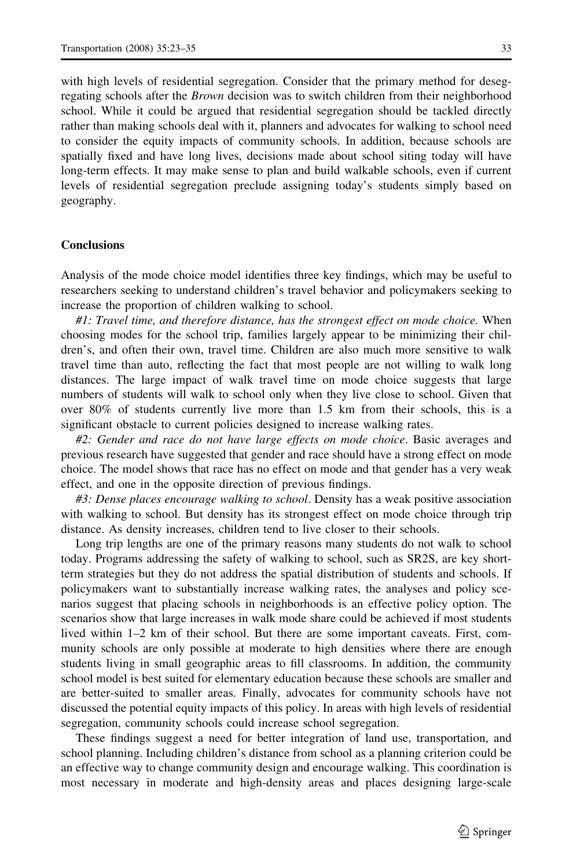with high levels of residential segregation. Consider that the primary method for desegregating schools after the *Brown* decision was to switch children from their neighborhood school. While it could be argued that residential segregation should be tackled directly rather than making schools deal with it, planners and advocates for walking to school need to consider the equity impacts of community schools. In addition, because schools are spatially fixed and have long lives, decisions made about school siting today will have long-term effects. It may make sense to plan and build walkable schools, even if current levels of residential segregation preclude assigning today's students simply based on geography.

## Conclusions

Analysis of the mode choice model identifies three key findings, which may be useful to researchers seeking to understand children's travel behavior and policymakers seeking to increase the proportion of children walking to school.

#1: Travel time, and therefore distance, has the strongest effect on mode choice. When choosing modes for the school trip, families largely appear to be minimizing their children's, and often their own, travel time. Children are also much more sensitive to walk travel time than auto, reflecting the fact that most people are not willing to walk long distances. The large impact of walk travel time on mode choice suggests that large numbers of students will walk to school only when they live close to school. Given that over 80% of students currently live more than 1.5 km from their schools, this is a significant obstacle to current policies designed to increase walking rates.

#2: Gender and race do not have large effects on mode choice. Basic averages and previous research have suggested that gender and race should have a strong effect on mode choice. The model shows that race has no effect on mode and that gender has a very weak effect, and one in the opposite direction of previous findings.

#3: Dense places encourage walking to school. Density has a weak positive association with walking to school. But density has its strongest effect on mode choice through trip distance. As density increases, children tend to live closer to their schools.

Long trip lengths are one of the primary reasons many students do not walk to school today. Programs addressing the safety of walking to school, such as SR2S, are key shortterm strategies but they do not address the spatial distribution of students and schools. If policymakers want to substantially increase walking rates, the analyses and policy scenarios suggest that placing schools in neighborhoods is an effective policy option. The scenarios show that large increases in walk mode share could be achieved if most students lived within 1–2 km of their school. But there are some important caveats. First, community schools are only possible at moderate to high densities where there are enough students living in small geographic areas to fill classrooms. In addition, the community school model is best suited for elementary education because these schools are smaller and are better-suited to smaller areas. Finally, advocates for community schools have not discussed the potential equity impacts of this policy. In areas with high levels of residential segregation, community schools could increase school segregation.

These findings suggest a need for better integration of land use, transportation, and school planning. Including children's distance from school as a planning criterion could be an effective way to change community design and encourage walking. This coordination is most necessary in moderate and high-density areas and places designing large-scale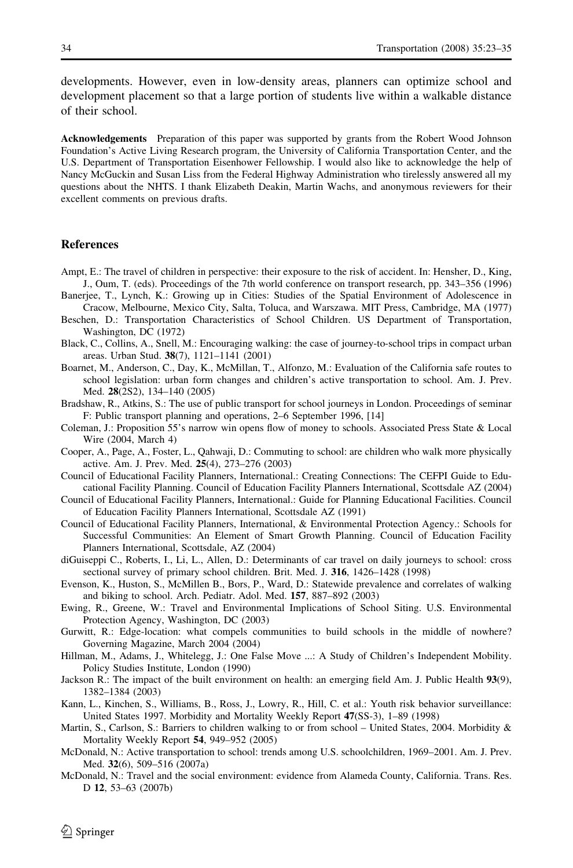<span id="page-11-0"></span>developments. However, even in low-density areas, planners can optimize school and development placement so that a large portion of students live within a walkable distance of their school.

Acknowledgements Preparation of this paper was supported by grants from the Robert Wood Johnson Foundation's Active Living Research program, the University of California Transportation Center, and the U.S. Department of Transportation Eisenhower Fellowship. I would also like to acknowledge the help of Nancy McGuckin and Susan Liss from the Federal Highway Administration who tirelessly answered all my questions about the NHTS. I thank Elizabeth Deakin, Martin Wachs, and anonymous reviewers for their excellent comments on previous drafts.

### **References**

- Ampt, E.: The travel of children in perspective: their exposure to the risk of accident. In: Hensher, D., King, J., Oum, T. (eds). Proceedings of the 7th world conference on transport research, pp. 343–356 (1996)
- Banerjee, T., Lynch, K.: Growing up in Cities: Studies of the Spatial Environment of Adolescence in Cracow, Melbourne, Mexico City, Salta, Toluca, and Warszawa. MIT Press, Cambridge, MA (1977)
- Beschen, D.: Transportation Characteristics of School Children. US Department of Transportation, Washington, DC (1972)
- Black, C., Collins, A., Snell, M.: Encouraging walking: the case of journey-to-school trips in compact urban areas. Urban Stud. 38(7), 1121–1141 (2001)
- Boarnet, M., Anderson, C., Day, K., McMillan, T., Alfonzo, M.: Evaluation of the California safe routes to school legislation: urban form changes and children's active transportation to school. Am. J. Prev. Med. 28(2S2), 134–140 (2005)
- Bradshaw, R., Atkins, S.: The use of public transport for school journeys in London. Proceedings of seminar F: Public transport planning and operations, 2–6 September 1996, [14]
- Coleman, J.: Proposition 55's narrow win opens flow of money to schools. Associated Press State & Local Wire (2004, March 4)
- Cooper, A., Page, A., Foster, L., Qahwaji, D.: Commuting to school: are children who walk more physically active. Am. J. Prev. Med. 25(4), 273–276 (2003)
- Council of Educational Facility Planners, International.: Creating Connections: The CEFPI Guide to Educational Facility Planning. Council of Education Facility Planners International, Scottsdale AZ (2004)
- Council of Educational Facility Planners, International.: Guide for Planning Educational Facilities. Council of Education Facility Planners International, Scottsdale AZ (1991)
- Council of Educational Facility Planners, International, & Environmental Protection Agency.: Schools for Successful Communities: An Element of Smart Growth Planning. Council of Education Facility Planners International, Scottsdale, AZ (2004)
- diGuiseppi C., Roberts, I., Li, L., Allen, D.: Determinants of car travel on daily journeys to school: cross sectional survey of primary school children. Brit. Med. J. 316, 1426–1428 (1998)
- Evenson, K., Huston, S., McMillen B., Bors, P., Ward, D.: Statewide prevalence and correlates of walking and biking to school. Arch. Pediatr. Adol. Med. 157, 887–892 (2003)
- Ewing, R., Greene, W.: Travel and Environmental Implications of School Siting. U.S. Environmental Protection Agency, Washington, DC (2003)
- Gurwitt, R.: Edge-location: what compels communities to build schools in the middle of nowhere? Governing Magazine, March 2004 (2004)
- Hillman, M., Adams, J., Whitelegg, J.: One False Move ...: A Study of Children's Independent Mobility. Policy Studies Institute, London (1990)
- Jackson R.: The impact of the built environment on health: an emerging field Am. J. Public Health 93(9), 1382–1384 (2003)
- Kann, L., Kinchen, S., Williams, B., Ross, J., Lowry, R., Hill, C. et al.: Youth risk behavior surveillance: United States 1997. Morbidity and Mortality Weekly Report 47(SS-3), 1–89 (1998)
- Martin, S., Carlson, S.: Barriers to children walking to or from school United States, 2004. Morbidity & Mortality Weekly Report 54, 949–952 (2005)
- McDonald, N.: Active transportation to school: trends among U.S. schoolchildren, 1969–2001. Am. J. Prev. Med. 32(6), 509–516 (2007a)
- McDonald, N.: Travel and the social environment: evidence from Alameda County, California. Trans. Res. D 12, 53–63 (2007b)